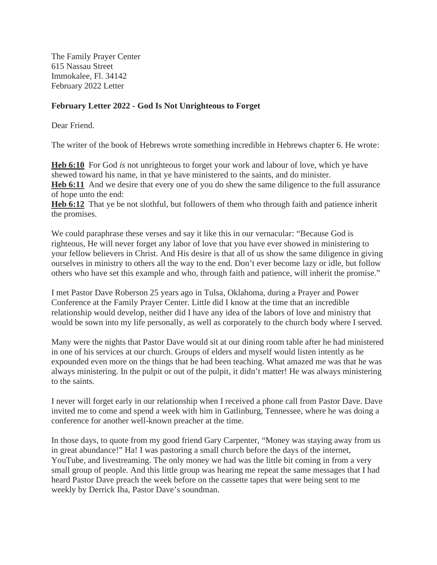The Family Prayer Center 615 Nassau Street Immokalee, Fl. 34142 February 2022 Letter

## **February Letter 2022 - God Is Not Unrighteous to Forget**

Dear Friend.

The writer of the book of Hebrews wrote something incredible in Hebrews chapter 6. He wrote:

**Heb 6:10** For God *is* not unrighteous to forget your work and labour of love, which ye have shewed toward his name, in that ye have ministered to the saints, and do minister. **Heb 6:11** And we desire that every one of you do shew the same diligence to the full assurance of hope unto the end:

**Heb 6:12** That ye be not slothful, but followers of them who through faith and patience inherit the promises.

We could paraphrase these verses and say it like this in our vernacular: "Because God is righteous, He will never forget any labor of love that you have ever showed in ministering to your fellow believers in Christ. And His desire is that all of us show the same diligence in giving ourselves in ministry to others all the way to the end. Don't ever become lazy or idle, but follow others who have set this example and who, through faith and patience, will inherit the promise."

I met Pastor Dave Roberson 25 years ago in Tulsa, Oklahoma, during a Prayer and Power Conference at the Family Prayer Center. Little did I know at the time that an incredible relationship would develop, neither did I have any idea of the labors of love and ministry that would be sown into my life personally, as well as corporately to the church body where I served.

Many were the nights that Pastor Dave would sit at our dining room table after he had ministered in one of his services at our church. Groups of elders and myself would listen intently as he expounded even more on the things that he had been teaching. What amazed me was that he was always ministering. In the pulpit or out of the pulpit, it didn't matter! He was always ministering to the saints.

I never will forget early in our relationship when I received a phone call from Pastor Dave. Dave invited me to come and spend a week with him in Gatlinburg, Tennessee, where he was doing a conference for another well-known preacher at the time.

In those days, to quote from my good friend Gary Carpenter, "Money was staying away from us in great abundance!" Ha! I was pastoring a small church before the days of the internet, YouTube, and livestreaming. The only money we had was the little bit coming in from a very small group of people. And this little group was hearing me repeat the same messages that I had heard Pastor Dave preach the week before on the cassette tapes that were being sent to me weekly by Derrick Iha, Pastor Dave's soundman.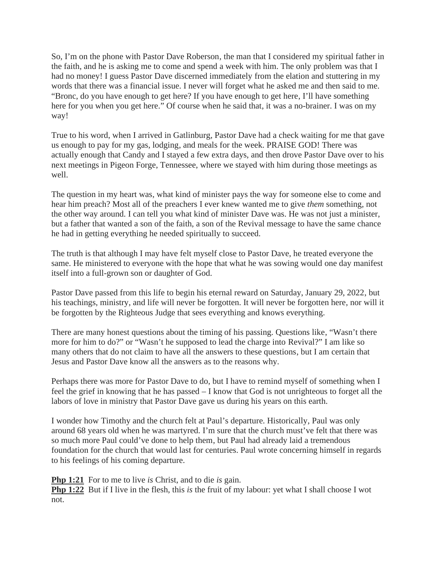So, I'm on the phone with Pastor Dave Roberson, the man that I considered my spiritual father in the faith, and he is asking me to come and spend a week with him. The only problem was that I had no money! I guess Pastor Dave discerned immediately from the elation and stuttering in my words that there was a financial issue. I never will forget what he asked me and then said to me. "Bronc, do you have enough to get here? If you have enough to get here, I'll have something here for you when you get here." Of course when he said that, it was a no-brainer. I was on my way!

True to his word, when I arrived in Gatlinburg, Pastor Dave had a check waiting for me that gave us enough to pay for my gas, lodging, and meals for the week. PRAISE GOD! There was actually enough that Candy and I stayed a few extra days, and then drove Pastor Dave over to his next meetings in Pigeon Forge, Tennessee, where we stayed with him during those meetings as well.

The question in my heart was, what kind of minister pays the way for someone else to come and hear him preach? Most all of the preachers I ever knew wanted me to give *them* something, not the other way around. I can tell you what kind of minister Dave was. He was not just a minister, but a father that wanted a son of the faith, a son of the Revival message to have the same chance he had in getting everything he needed spiritually to succeed.

The truth is that although I may have felt myself close to Pastor Dave, he treated everyone the same. He ministered to everyone with the hope that what he was sowing would one day manifest itself into a full-grown son or daughter of God.

Pastor Dave passed from this life to begin his eternal reward on Saturday, January 29, 2022, but his teachings, ministry, and life will never be forgotten. It will never be forgotten here, nor will it be forgotten by the Righteous Judge that sees everything and knows everything.

There are many honest questions about the timing of his passing. Questions like, "Wasn't there more for him to do?" or "Wasn't he supposed to lead the charge into Revival?" I am like so many others that do not claim to have all the answers to these questions, but I am certain that Jesus and Pastor Dave know all the answers as to the reasons why.

Perhaps there was more for Pastor Dave to do, but I have to remind myself of something when I feel the grief in knowing that he has passed – I know that God is not unrighteous to forget all the labors of love in ministry that Pastor Dave gave us during his years on this earth.

I wonder how Timothy and the church felt at Paul's departure. Historically, Paul was only around 68 years old when he was martyred. I'm sure that the church must've felt that there was so much more Paul could've done to help them, but Paul had already laid a tremendous foundation for the church that would last for centuries. Paul wrote concerning himself in regards to his feelings of his coming departure.

**Php 1:21** For to me to live *is* Christ, and to die *is* gain.

**Php 1:22** But if I live in the flesh, this *is* the fruit of my labour: yet what I shall choose I wot not.